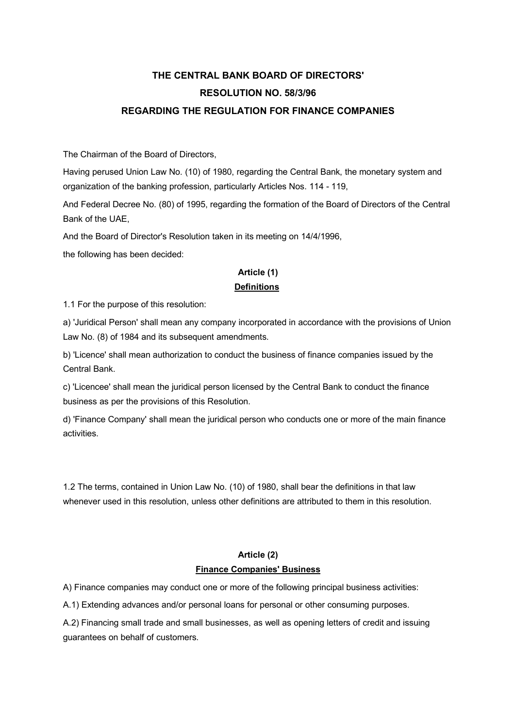# **THE CENTRAL BANK BOARD OF DIRECTORS' RESOLUTION NO. 58/3/96 REGARDING THE REGULATION FOR FINANCE COMPANIES**

The Chairman of the Board of Directors,

Having perused Union Law No. (10) of 1980, regarding the Central Bank, the monetary system and organization of the banking profession, particularly Articles Nos. 114 - 119,

And Federal Decree No. (80) of 1995, regarding the formation of the Board of Directors of the Central Bank of the UAE,

And the Board of Director's Resolution taken in its meeting on 14/4/1996,

the following has been decided:

### **Article (1) Definitions**

#### 1.1 For the purpose of this resolution:

a) 'Juridical Person' shall mean any company incorporated in accordance with the provisions of Union Law No. (8) of 1984 and its subsequent amendments.

b) 'Licence' shall mean authorization to conduct the business of finance companies issued by the Central Bank.

c) 'Licencee' shall mean the juridical person licensed by the Central Bank to conduct the finance business as per the provisions of this Resolution.

d) 'Finance Company' shall mean the juridical person who conducts one or more of the main finance activities.

1.2 The terms, contained in Union Law No. (10) of 1980, shall bear the definitions in that law whenever used in this resolution, unless other definitions are attributed to them in this resolution.

### **Article (2) Finance Companies' Business**

A) Finance companies may conduct one or more of the following principal business activities:

A.1) Extending advances and/or personal loans for personal or other consuming purposes.

A.2) Financing small trade and small businesses, as well as opening letters of credit and issuing guarantees on behalf of customers.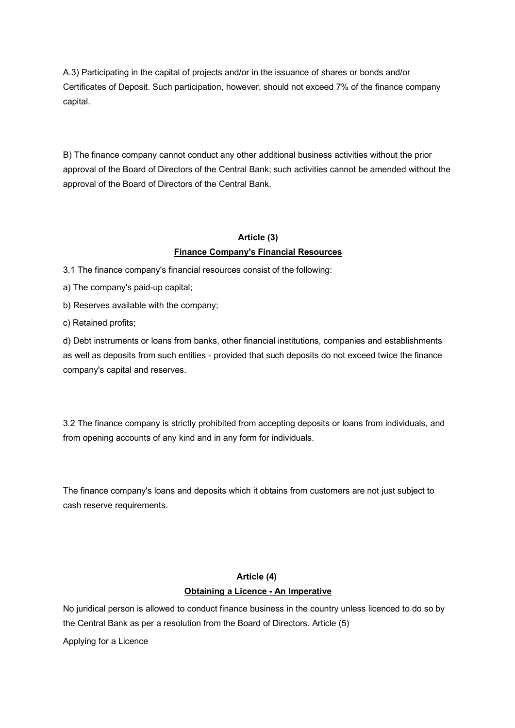A.3) Participating in the capital of projects and/or in the issuance of shares or bonds and/or Certificates of Deposit. Such participation, however, should not exceed 7% of the finance company capital.

B) The finance company cannot conduct any other additional business activities without the prior approval of the Board of Directors of the Central Bank; such activities cannot be amended without the approval of the Board of Directors of the Central Bank.

### **Article (3) Finance Company's Financial Resources**

3.1 The finance company's financial resources consist of the following:

a) The company's paid-up capital;

b) Reserves available with the company;

c) Retained profits;

d) Debt instruments or loans from banks, other financial institutions, companies and establishments as well as deposits from such entities - provided that such deposits do not exceed twice the finance company's capital and reserves.

3.2 The finance company is strictly prohibited from accepting deposits or loans from individuals, and from opening accounts of any kind and in any form for individuals.

The finance company's loans and deposits which it obtains from customers are not just subject to cash reserve requirements.

### **Article (4) Obtaining a Licence - An Imperative**

No juridical person is allowed to conduct finance business in the country unless licenced to do so by the Central Bank as per a resolution from the Board of Directors. Article (5)

Applying for a Licence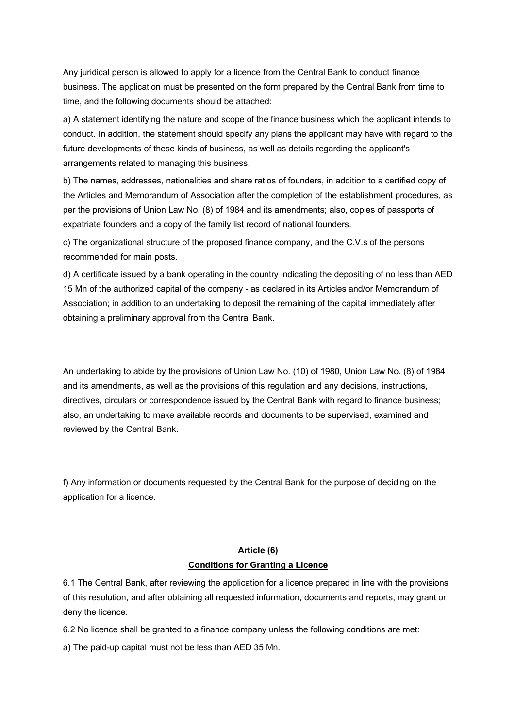Any juridical person is allowed to apply for a licence from the Central Bank to conduct finance business. The application must be presented on the form prepared by the Central Bank from time to time, and the following documents should be attached:

a) A statement identifying the nature and scope of the finance business which the applicant intends to conduct. In addition, the statement should specify any plans the applicant may have with regard to the future developments of these kinds of business, as well as details regarding the applicant's arrangements related to managing this business.

b) The names, addresses, nationalities and share ratios of founders, in addition to a certified copy of the Articles and Memorandum of Association after the completion of the establishment procedures, as per the provisions of Union Law No. (8) of 1984 and its amendments; also, copies of passports of expatriate founders and a copy of the family list record of national founders.

c) The organizational structure of the proposed finance company, and the C.V.s of the persons recommended for main posts.

d) A certificate issued by a bank operating in the country indicating the depositing of no less than AED 15 Mn of the authorized capital of the company - as declared in its Articles and/or Memorandum of Association; in addition to an undertaking to deposit the remaining of the capital immediately after obtaining a preliminary approval from the Central Bank.

An undertaking to abide by the provisions of Union Law No. (10) of 1980, Union Law No. (8) of 1984 and its amendments, as well as the provisions of this regulation and any decisions, instructions, directives, circulars or correspondence issued by the Central Bank with regard to finance business; also, an undertaking to make available records and documents to be supervised, examined and reviewed by the Central Bank.

f) Any information or documents requested by the Central Bank for the purpose of deciding on the application for a licence.

### **Article (6) Conditions for Granting a Licence**

6.1 The Central Bank, after reviewing the application for a licence prepared in line with the provisions of this resolution, and after obtaining all requested information, documents and reports, may grant or deny the licence.

6.2 No licence shall be granted to a finance company unless the following conditions are met:

a) The paid-up capital must not be less than AED 35 Mn.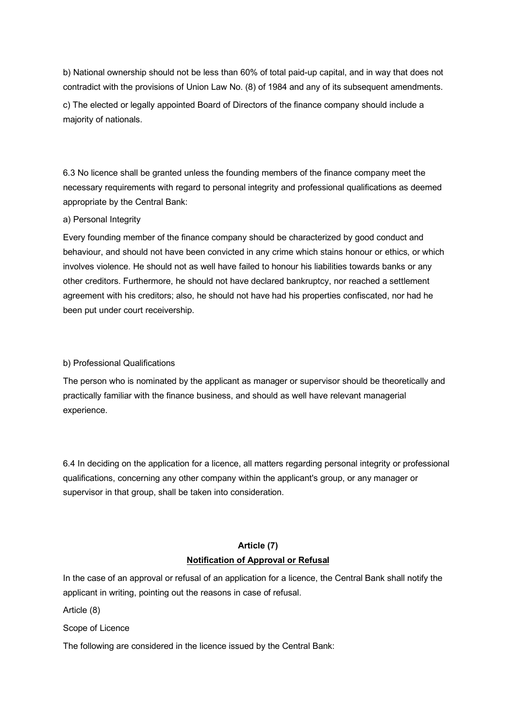b) National ownership should not be less than 60% of total paid-up capital, and in way that does not contradict with the provisions of Union Law No. (8) of 1984 and any of its subsequent amendments. c) The elected or legally appointed Board of Directors of the finance company should include a majority of nationals.

6.3 No licence shall be granted unless the founding members of the finance company meet the necessary requirements with regard to personal integrity and professional qualifications as deemed appropriate by the Central Bank:

#### a) Personal Integrity

Every founding member of the finance company should be characterized by good conduct and behaviour, and should not have been convicted in any crime which stains honour or ethics, or which involves violence. He should not as well have failed to honour his liabilities towards banks or any other creditors. Furthermore, he should not have declared bankruptcy, nor reached a settlement agreement with his creditors; also, he should not have had his properties confiscated, nor had he been put under court receivership.

#### b) Professional Qualifications

The person who is nominated by the applicant as manager or supervisor should be theoretically and practically familiar with the finance business, and should as well have relevant managerial experience.

6.4 In deciding on the application for a licence, all matters regarding personal integrity or professional qualifications, concerning any other company within the applicant's group, or any manager or supervisor in that group, shall be taken into consideration.

### **Article (7) Notification of Approval or Refusal**

In the case of an approval or refusal of an application for a licence, the Central Bank shall notify the applicant in writing, pointing out the reasons in case of refusal.

Article (8)

Scope of Licence

The following are considered in the licence issued by the Central Bank: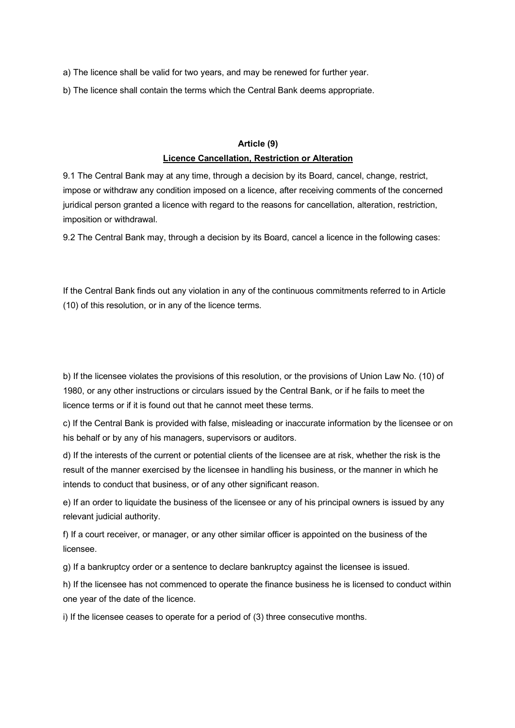a) The licence shall be valid for two years, and may be renewed for further year.

b) The licence shall contain the terms which the Central Bank deems appropriate.

#### **Article (9)**

#### **Licence Cancellation, Restriction or Alteration**

9.1 The Central Bank may at any time, through a decision by its Board, cancel, change, restrict, impose or withdraw any condition imposed on a licence, after receiving comments of the concerned juridical person granted a licence with regard to the reasons for cancellation, alteration, restriction, imposition or withdrawal.

9.2 The Central Bank may, through a decision by its Board, cancel a licence in the following cases:

If the Central Bank finds out any violation in any of the continuous commitments referred to in Article (10) of this resolution, or in any of the licence terms.

b) If the licensee violates the provisions of this resolution, or the provisions of Union Law No. (10) of 1980, or any other instructions or circulars issued by the Central Bank, or if he fails to meet the licence terms or if it is found out that he cannot meet these terms.

c) If the Central Bank is provided with false, misleading or inaccurate information by the licensee or on his behalf or by any of his managers, supervisors or auditors.

d) If the interests of the current or potential clients of the licensee are at risk, whether the risk is the result of the manner exercised by the licensee in handling his business, or the manner in which he intends to conduct that business, or of any other significant reason.

e) If an order to liquidate the business of the licensee or any of his principal owners is issued by any relevant judicial authority.

f) If a court receiver, or manager, or any other similar officer is appointed on the business of the licensee.

g) If a bankruptcy order or a sentence to declare bankruptcy against the licensee is issued.

h) If the licensee has not commenced to operate the finance business he is licensed to conduct within one year of the date of the licence.

i) If the licensee ceases to operate for a period of (3) three consecutive months.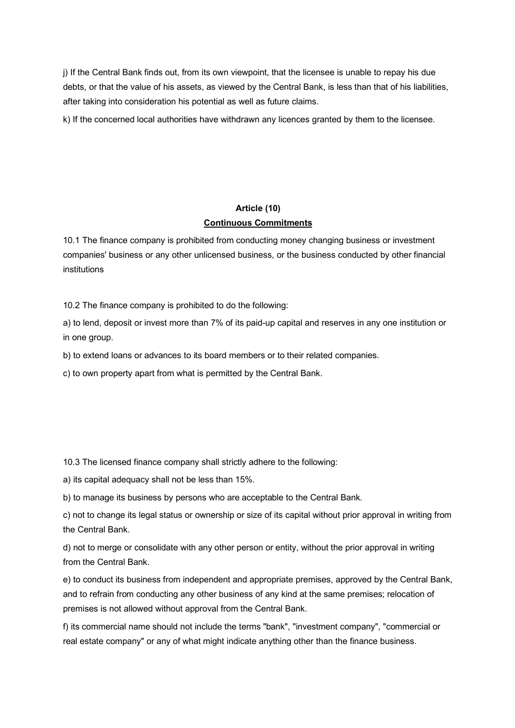j) If the Central Bank finds out, from its own viewpoint, that the licensee is unable to repay his due debts, or that the value of his assets, as viewed by the Central Bank, is less than that of his liabilities, after taking into consideration his potential as well as future claims.

k) If the concerned local authorities have withdrawn any licences granted by them to the licensee.

#### **Article (10)**

#### **Continuous Commitments**

10.1 The finance company is prohibited from conducting money changing business or investment companies' business or any other unlicensed business, or the business conducted by other financial institutions

10.2 The finance company is prohibited to do the following:

a) to lend, deposit or invest more than 7% of its paid-up capital and reserves in any one institution or in one group.

b) to extend loans or advances to its board members or to their related companies.

c) to own property apart from what is permitted by the Central Bank.

10.3 The licensed finance company shall strictly adhere to the following:

a) its capital adequacy shall not be less than 15%.

b) to manage its business by persons who are acceptable to the Central Bank.

c) not to change its legal status or ownership or size of its capital without prior approval in writing from the Central Bank.

d) not to merge or consolidate with any other person or entity, without the prior approval in writing from the Central Bank.

e) to conduct its business from independent and appropriate premises, approved by the Central Bank, and to refrain from conducting any other business of any kind at the same premises; relocation of premises is not allowed without approval from the Central Bank.

f) its commercial name should not include the terms "bank", "investment company", "commercial or real estate company" or any of what might indicate anything other than the finance business.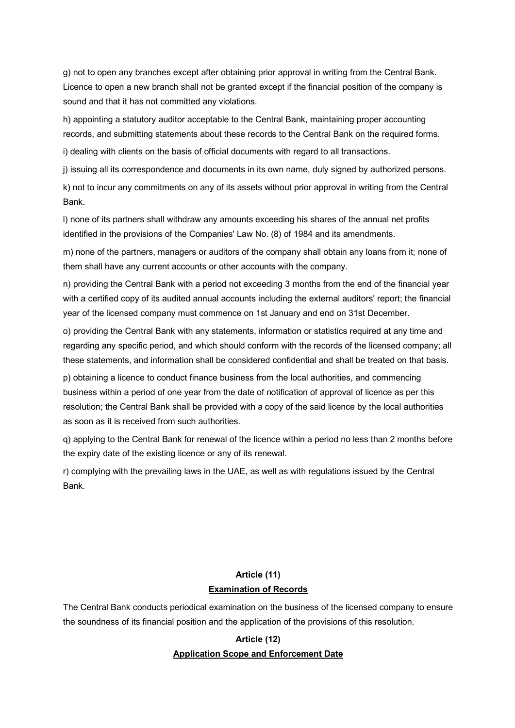g) not to open any branches except after obtaining prior approval in writing from the Central Bank. Licence to open a new branch shall not be granted except if the financial position of the company is sound and that it has not committed any violations.

h) appointing a statutory auditor acceptable to the Central Bank, maintaining proper accounting records, and submitting statements about these records to the Central Bank on the required forms.

i) dealing with clients on the basis of official documents with regard to all transactions.

j) issuing all its correspondence and documents in its own name, duly signed by authorized persons.

k) not to incur any commitments on any of its assets without prior approval in writing from the Central Bank.

l) none of its partners shall withdraw any amounts exceeding his shares of the annual net profits identified in the provisions of the Companies' Law No. (8) of 1984 and its amendments.

m) none of the partners, managers or auditors of the company shall obtain any loans from it; none of them shall have any current accounts or other accounts with the company.

n) providing the Central Bank with a period not exceeding 3 months from the end of the financial year with a certified copy of its audited annual accounts including the external auditors' report; the financial year of the licensed company must commence on 1st January and end on 31st December.

o) providing the Central Bank with any statements, information or statistics required at any time and regarding any specific period, and which should conform with the records of the licensed company; all these statements, and information shall be considered confidential and shall be treated on that basis.

p) obtaining a licence to conduct finance business from the local authorities, and commencing business within a period of one year from the date of notification of approval of licence as per this resolution; the Central Bank shall be provided with a copy of the said licence by the local authorities as soon as it is received from such authorities.

q) applying to the Central Bank for renewal of the licence within a period no less than 2 months before the expiry date of the existing licence or any of its renewal.

r) complying with the prevailing laws in the UAE, as well as with regulations issued by the Central Bank.

## **Article (11) Examination of Records**

The Central Bank conducts periodical examination on the business of the licensed company to ensure the soundness of its financial position and the application of the provisions of this resolution.

### **Article (12) Application Scope and Enforcement Date**